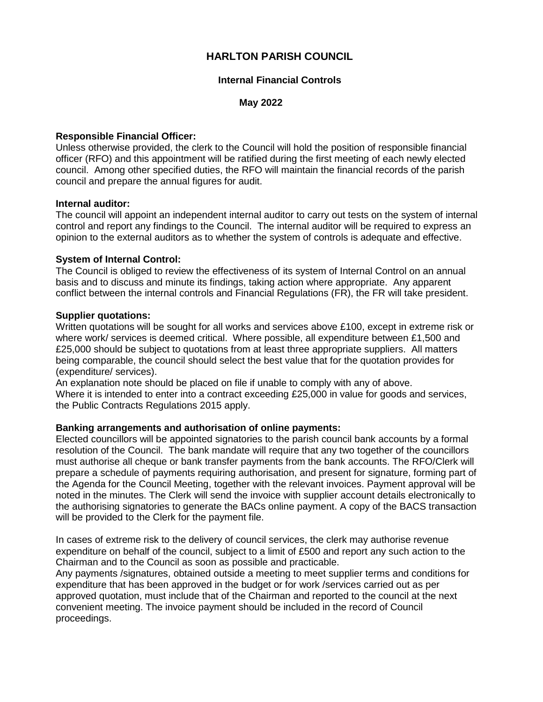# **HARLTON PARISH COUNCIL**

## **Internal Financial Controls**

## **May 2022**

## **Responsible Financial Officer:**

Unless otherwise provided, the clerk to the Council will hold the position of responsible financial officer (RFO) and this appointment will be ratified during the first meeting of each newly elected council. Among other specified duties, the RFO will maintain the financial records of the parish council and prepare the annual figures for audit.

## **Internal auditor:**

The council will appoint an independent internal auditor to carry out tests on the system of internal control and report any findings to the Council. The internal auditor will be required to express an opinion to the external auditors as to whether the system of controls is adequate and effective.

## **System of Internal Control:**

The Council is obliged to review the effectiveness of its system of Internal Control on an annual basis and to discuss and minute its findings, taking action where appropriate. Any apparent conflict between the internal controls and Financial Regulations (FR), the FR will take president.

## **Supplier quotations:**

Written quotations will be sought for all works and services above £100, except in extreme risk or where work/ services is deemed critical. Where possible, all expenditure between £1,500 and £25,000 should be subject to quotations from at least three appropriate suppliers. All matters being comparable, the council should select the best value that for the quotation provides for (expenditure/ services).

An explanation note should be placed on file if unable to comply with any of above. Where it is intended to enter into a contract exceeding £25,000 in value for goods and services, the Public Contracts Regulations 2015 apply.

## **Banking arrangements and authorisation of online payments:**

Elected councillors will be appointed signatories to the parish council bank accounts by a formal resolution of the Council. The bank mandate will require that any two together of the councillors must authorise all cheque or bank transfer payments from the bank accounts. The RFO/Clerk will prepare a schedule of payments requiring authorisation, and present for signature, forming part of the Agenda for the Council Meeting, together with the relevant invoices. Payment approval will be noted in the minutes. The Clerk will send the invoice with supplier account details electronically to the authorising signatories to generate the BACs online payment. A copy of the BACS transaction will be provided to the Clerk for the payment file.

In cases of extreme risk to the delivery of council services, the clerk may authorise revenue expenditure on behalf of the council, subject to a limit of £500 and report any such action to the Chairman and to the Council as soon as possible and practicable.

Any payments /signatures, obtained outside a meeting to meet supplier terms and conditions for expenditure that has been approved in the budget or for work /services carried out as per approved quotation, must include that of the Chairman and reported to the council at the next convenient meeting. The invoice payment should be included in the record of Council proceedings.